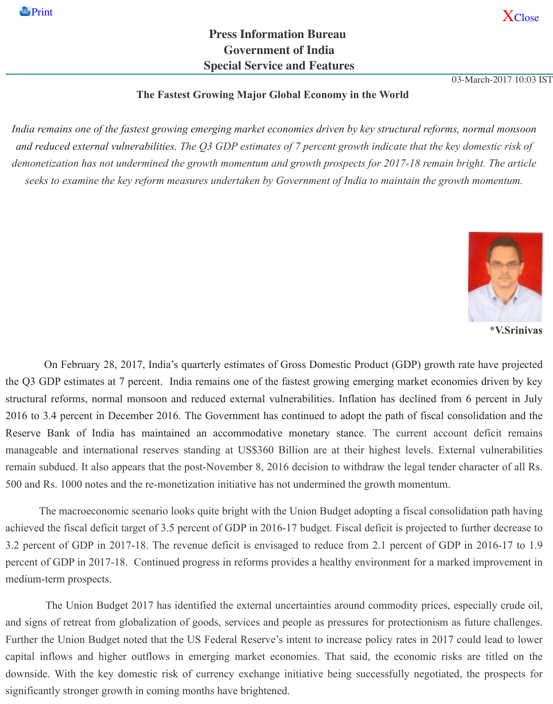## **Press Information Bureau Government of India Special Service and Features**

03-March-2017 10:03 IST

## **The Fastest Growing Major Global Economy in the World**

*India remains one of the fastest growing emerging market economies driven by key structural reforms, normal monsoon and reduced external vulnerabilities. The Q3 GDP estimates of 7 percent growth indicate that the key domestic risk of demonetization has not undermined the growth momentum and growth prospects for 2017-18 remain bright. The article seeks to examine the key reform measures undertaken by Government of India to maintain the growth momentum.*



**\*V.Srinivas**

 On February 28, 2017, India's quarterly estimates of Gross Domestic Product (GDP) growth rate have projected the Q3 GDP estimates at 7 percent. India remains one of the fastest growing emerging market economies driven by key structural reforms, normal monsoon and reduced external vulnerabilities. Inflation has declined from 6 percent in July 2016 to 3.4 percent in December 2016. The Government has continued to adopt the path of fiscal consolidation and the Reserve Bank of India has maintained an accommodative monetary stance. The current account deficit remains manageable and international reserves standing at US\$360 Billion are at their highest levels. External vulnerabilities remain subdued. It also appears that the post-November 8, 2016 decision to withdraw the legal tender character of all Rs. 500 and Rs. 1000 notes and the re-monetization initiative has not undermined the growth momentum.

 The macroeconomic scenario looks quite bright with the Union Budget adopting a fiscal consolidation path having achieved the fiscal deficit target of 3.5 percent of GDP in 2016-17 budget. Fiscal deficit is projected to further decrease to 3.2 percent of GDP in 2017-18. The revenue deficit is envisaged to reduce from 2.1 percent of GDP in 2016-17 to 1.9 percent of GDP in 2017-18. Continued progress in reforms provides a healthy environment for a marked improvement in medium-term prospects.

 The Union Budget 2017 has identified the external uncertainties around commodity prices, especially crude oil, and signs of retreat from globalization of goods, services and people as pressures for protectionism as future challenges. Further the Union Budget noted that the US Federal Reserve's intent to increase policy rates in 2017 could lead to lower capital inflows and higher outflows in emerging market economies. That said, the economic risks are titled on the downside. With the key domestic risk of currency exchange initiative being successfully negotiated, the prospects for significantly stronger growth in coming months have brightened.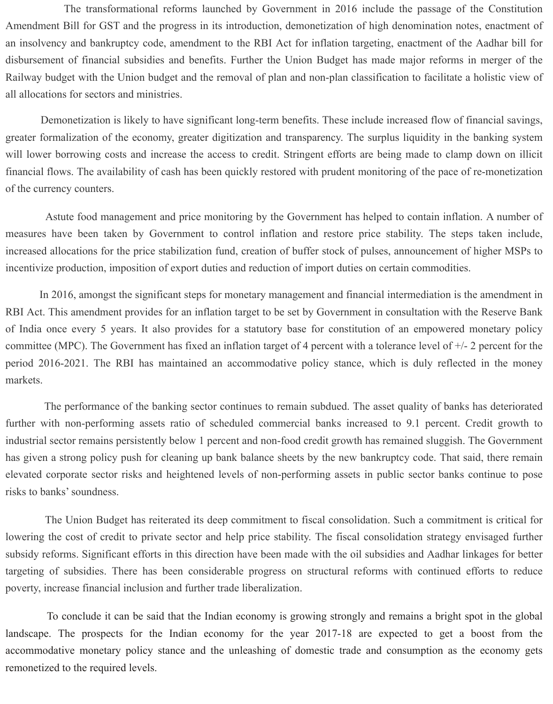The transformational reforms launched by Government in 2016 include the passage of the Constitution Amendment Bill for GST and the progress in its introduction, demonetization of high denomination notes, enactment of an insolvency and bankruptcy code, amendment to the RBI Act for inflation targeting, enactment of the Aadhar bill for disbursement of financial subsidies and benefits. Further the Union Budget has made major reforms in merger of the Railway budget with the Union budget and the removal of plan and non-plan classification to facilitate a holistic view of all allocations for sectors and ministries.

 Demonetization is likely to have significant long-term benefits. These include increased flow of financial savings, greater formalization of the economy, greater digitization and transparency. The surplus liquidity in the banking system will lower borrowing costs and increase the access to credit. Stringent efforts are being made to clamp down on illicit financial flows. The availability of cash has been quickly restored with prudent monitoring of the pace of re-monetization of the currency counters.

 Astute food management and price monitoring by the Government has helped to contain inflation. A number of measures have been taken by Government to control inflation and restore price stability. The steps taken include, increased allocations for the price stabilization fund, creation of buffer stock of pulses, announcement of higher MSPs to incentivize production, imposition of export duties and reduction of import duties on certain commodities.

 In 2016, amongst the significant steps for monetary management and financial intermediation is the amendment in RBI Act. This amendment provides for an inflation target to be set by Government in consultation with the Reserve Bank of India once every 5 years. It also provides for a statutory base for constitution of an empowered monetary policy committee (MPC). The Government has fixed an inflation target of 4 percent with a tolerance level of +/- 2 percent for the period 2016-2021. The RBI has maintained an accommodative policy stance, which is duly reflected in the money markets.

 The performance of the banking sector continues to remain subdued. The asset quality of banks has deteriorated further with non-performing assets ratio of scheduled commercial banks increased to 9.1 percent. Credit growth to industrial sector remains persistently below 1 percent and non-food credit growth has remained sluggish. The Government has given a strong policy push for cleaning up bank balance sheets by the new bankruptcy code. That said, there remain elevated corporate sector risks and heightened levels of non-performing assets in public sector banks continue to pose risks to banks' soundness.

 The Union Budget has reiterated its deep commitment to fiscal consolidation. Such a commitment is critical for lowering the cost of credit to private sector and help price stability. The fiscal consolidation strategy envisaged further subsidy reforms. Significant efforts in this direction have been made with the oil subsidies and Aadhar linkages for better targeting of subsidies. There has been considerable progress on structural reforms with continued efforts to reduce poverty, increase financial inclusion and further trade liberalization.

 To conclude it can be said that the Indian economy is growing strongly and remains a bright spot in the global landscape. The prospects for the Indian economy for the year 2017-18 are expected to get a boost from the accommodative monetary policy stance and the unleashing of domestic trade and consumption as the economy gets remonetized to the required levels.